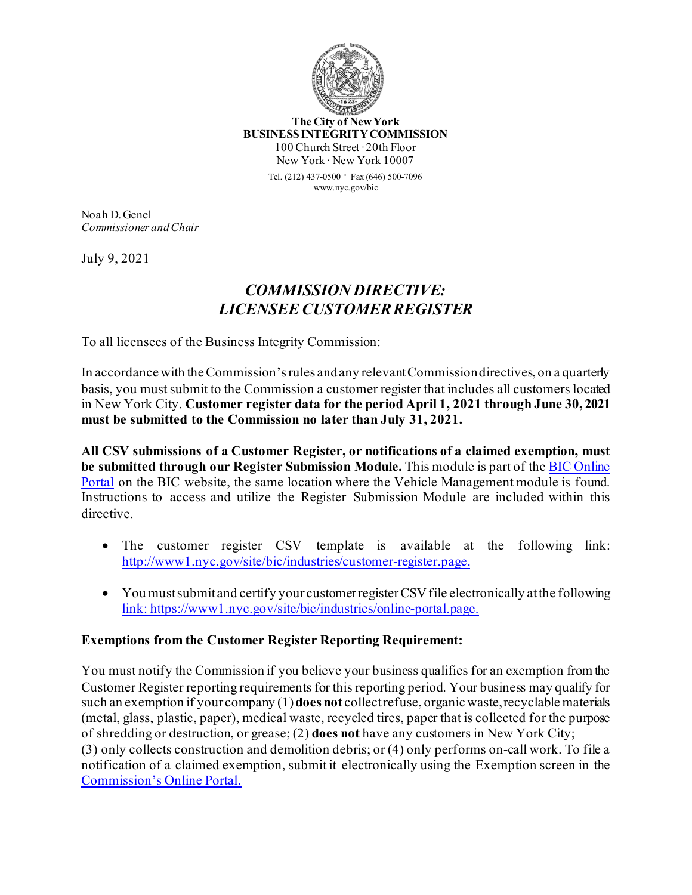

**The City of New York BUSINESS INTEGRITY COMMISSION** 100 Church Street ∙ 20th Floor New York ∙ New York 10007

> Tel. (212) 437-0500 ∙ Fax (646) 500-<sup>7096</sup> www.nyc.gov/bic

Noah D. Genel *Commissioner and Chair*

July 9, 2021

## *COMMISSION DIRECTIVE: LICENSEE CUSTOMER REGISTER*

To all licensees of the Business Integrity Commission:

In accordance with the Commission's rules and any relevant Commission directives, on a quarterly basis, you must submit to the Commission a customer register that includes all customers located in New York City. **Customer register data for the period April 1, 2021 through June 30, 2021 must be submitted to the Commission no later than July 31, 2021.**

**All CSV submissions of a Customer Register, or notifications of a claimed exemption, must be submitted through our Register Submission Module.** This module is part of th[e BIC Online](https://www1.nyc.gov/site/bic/industries/online-portal.page.)  [Portal](https://www1.nyc.gov/site/bic/industries/online-portal.page.) on the BIC website, the same location where the Vehicle Management module is found. Instructions to access and utilize the Register Submission Module are included within this directive.

- The customer register CSV template is available at the following link: [http://www1.nyc.gov/site/bic/industries/customer](http://www1.nyc.gov/site/bic/industries/customer-register.page.)-register.page.
- You must submit and certify your customer register CSV file electronically at the following [link: https://www1.nyc.gov/site/bic/industries/online](link:%20https://www1.nyc.gov/site/bic/industries/online-portal.page.)-portal.page.

## **Exemptions from the Customer Register Reporting Requirement:**

You must notify the Commission if you believe your business qualifies for an exemption from the Customer Register reporting requirements for this reporting period. Your business may qualify for such an exemption if your company (1) **does not** collect refuse, organic waste, recyclable materials (metal, glass, plastic, paper), medical waste, recycled tires, paper that is collected for the purpose of shredding or destruction, or grease; (2) **does not** have any customers in New York City; (3) only collects construction and demolition debris; or (4) only performs on-call work. To file a notification of a claimed exemption, submit it electronically using the Exemption screen in the [Commission's Online Portal.](https://www1.nyc.gov/site/bic/industries/online-portal.page.)